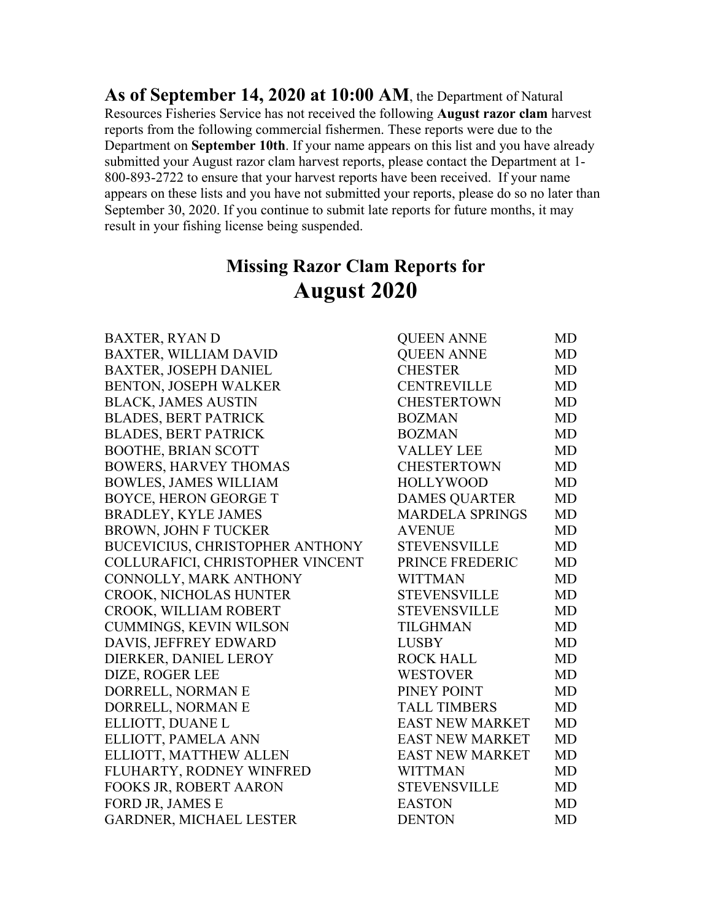**As of September 14, 2020 at 10:00 AM**, the Department of Natural Resources Fisheries Service has not received the following **August razor clam** harvest reports from the following commercial fishermen. These reports were due to the Department on **September 10th**. If your name appears on this list and you have already submitted your August razor clam harvest reports, please contact the Department at 1- 800-893-2722 to ensure that your harvest reports have been received. If your name appears on these lists and you have not submitted your reports, please do so no later than September 30, 2020. If you continue to submit late reports for future months, it may result in your fishing license being suspended.

## **Missing Razor Clam Reports for August 2020**

| <b>BAXTER, RYAN D</b>                  | <b>QUEEN ANNE</b>      | MD        |
|----------------------------------------|------------------------|-----------|
| <b>BAXTER, WILLIAM DAVID</b>           | <b>QUEEN ANNE</b>      | <b>MD</b> |
| <b>BAXTER, JOSEPH DANIEL</b>           | <b>CHESTER</b>         | MD        |
| <b>BENTON, JOSEPH WALKER</b>           | <b>CENTREVILLE</b>     | MD        |
| <b>BLACK, JAMES AUSTIN</b>             | <b>CHESTERTOWN</b>     | <b>MD</b> |
| <b>BLADES, BERT PATRICK</b>            | <b>BOZMAN</b>          | <b>MD</b> |
| <b>BLADES, BERT PATRICK</b>            | <b>BOZMAN</b>          | <b>MD</b> |
| <b>BOOTHE, BRIAN SCOTT</b>             | <b>VALLEY LEE</b>      | <b>MD</b> |
| <b>BOWERS, HARVEY THOMAS</b>           | <b>CHESTERTOWN</b>     | <b>MD</b> |
| <b>BOWLES, JAMES WILLIAM</b>           | <b>HOLLYWOOD</b>       | <b>MD</b> |
| <b>BOYCE, HERON GEORGE T</b>           | <b>DAMES QUARTER</b>   | <b>MD</b> |
| <b>BRADLEY, KYLE JAMES</b>             | <b>MARDELA SPRINGS</b> | <b>MD</b> |
| <b>BROWN, JOHN F TUCKER</b>            | <b>AVENUE</b>          | MD        |
| <b>BUCEVICIUS, CHRISTOPHER ANTHONY</b> | <b>STEVENSVILLE</b>    | MD        |
| COLLURAFICI, CHRISTOPHER VINCENT       | PRINCE FREDERIC        | <b>MD</b> |
| CONNOLLY, MARK ANTHONY                 | <b>WITTMAN</b>         | <b>MD</b> |
| <b>CROOK, NICHOLAS HUNTER</b>          | <b>STEVENSVILLE</b>    | MD        |
| CROOK, WILLIAM ROBERT                  | <b>STEVENSVILLE</b>    | MD        |
| CUMMINGS, KEVIN WILSON                 | <b>TILGHMAN</b>        | MD        |
| DAVIS, JEFFREY EDWARD                  | <b>LUSBY</b>           | MD        |
| DIERKER, DANIEL LEROY                  | <b>ROCK HALL</b>       | MD        |
| DIZE, ROGER LEE                        | <b>WESTOVER</b>        | MD        |
| DORRELL, NORMAN E                      | PINEY POINT            | MD        |
| DORRELL, NORMAN E                      | <b>TALL TIMBERS</b>    | MD        |
| ELLIOTT, DUANE L                       | <b>EAST NEW MARKET</b> | <b>MD</b> |
| ELLIOTT, PAMELA ANN                    | <b>EAST NEW MARKET</b> | MD        |
| ELLIOTT, MATTHEW ALLEN                 | <b>EAST NEW MARKET</b> | MD        |
| FLUHARTY, RODNEY WINFRED               | <b>WITTMAN</b>         | MD        |
| FOOKS JR, ROBERT AARON                 | <b>STEVENSVILLE</b>    | MD        |
| FORD JR, JAMES E                       | <b>EASTON</b>          | MD        |
| <b>GARDNER, MICHAEL LESTER</b>         | <b>DENTON</b>          | MD        |
|                                        |                        |           |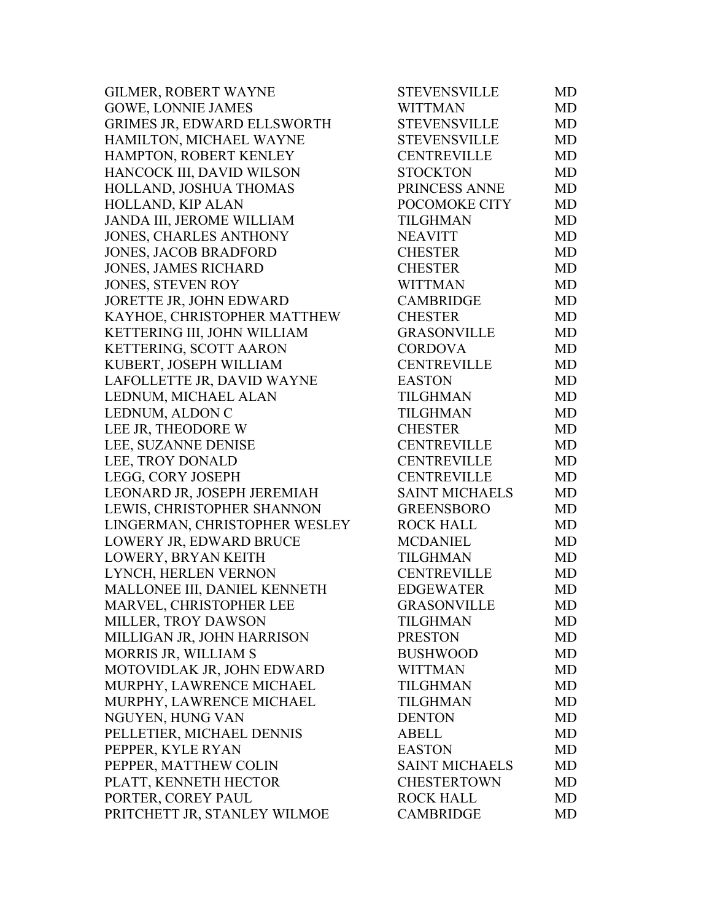| <b>GILMER, ROBERT WAYNE</b>   | <b>STEVENSVILLE</b>   | MD        |
|-------------------------------|-----------------------|-----------|
| <b>GOWE, LONNIE JAMES</b>     | WITTMAN               | <b>MD</b> |
| GRIMES JR, EDWARD ELLSWORTH   | <b>STEVENSVILLE</b>   | <b>MD</b> |
| HAMILTON, MICHAEL WAYNE       | <b>STEVENSVILLE</b>   | MD        |
| HAMPTON, ROBERT KENLEY        | <b>CENTREVILLE</b>    | <b>MD</b> |
| HANCOCK III, DAVID WILSON     | <b>STOCKTON</b>       | <b>MD</b> |
| HOLLAND, JOSHUA THOMAS        | PRINCESS ANNE         | <b>MD</b> |
| HOLLAND, KIP ALAN             | POCOMOKE CITY         | MD        |
| JANDA III, JEROME WILLIAM     | <b>TILGHMAN</b>       | MD        |
| JONES, CHARLES ANTHONY        | <b>NEAVITT</b>        | <b>MD</b> |
| <b>JONES, JACOB BRADFORD</b>  | <b>CHESTER</b>        | <b>MD</b> |
| <b>JONES, JAMES RICHARD</b>   | <b>CHESTER</b>        | <b>MD</b> |
| JONES, STEVEN ROY             | <b>WITTMAN</b>        | <b>MD</b> |
| JORETTE JR, JOHN EDWARD       | <b>CAMBRIDGE</b>      | <b>MD</b> |
| KAYHOE, CHRISTOPHER MATTHEW   | <b>CHESTER</b>        | <b>MD</b> |
| KETTERING III, JOHN WILLIAM   | <b>GRASONVILLE</b>    | <b>MD</b> |
| KETTERING, SCOTT AARON        | <b>CORDOVA</b>        | <b>MD</b> |
| KUBERT, JOSEPH WILLIAM        | <b>CENTREVILLE</b>    | <b>MD</b> |
| LAFOLLETTE JR, DAVID WAYNE    | <b>EASTON</b>         | <b>MD</b> |
| LEDNUM, MICHAEL ALAN          | TILGHMAN              | <b>MD</b> |
| LEDNUM, ALDON C               | TILGHMAN              | <b>MD</b> |
| LEE JR, THEODORE W            | <b>CHESTER</b>        | <b>MD</b> |
| LEE, SUZANNE DENISE           | <b>CENTREVILLE</b>    | <b>MD</b> |
| LEE, TROY DONALD              | <b>CENTREVILLE</b>    | <b>MD</b> |
| LEGG, CORY JOSEPH             | <b>CENTREVILLE</b>    | <b>MD</b> |
| LEONARD JR, JOSEPH JEREMIAH   | <b>SAINT MICHAELS</b> | MD        |
| LEWIS, CHRISTOPHER SHANNON    | <b>GREENSBORO</b>     | <b>MD</b> |
| LINGERMAN, CHRISTOPHER WESLEY | <b>ROCK HALL</b>      | MD        |
| LOWERY JR, EDWARD BRUCE       | <b>MCDANIEL</b>       | <b>MD</b> |
| LOWERY, BRYAN KEITH           | TILGHMAN              | <b>MD</b> |
| LYNCH, HERLEN VERNON          | <b>CENTREVILLE</b>    | <b>MD</b> |
| MALLONEE III, DANIEL KENNETH  | <b>EDGEWATER</b>      | <b>MD</b> |
| MARVEL, CHRISTOPHER LEE       | <b>GRASONVILLE</b>    | MD        |
| <b>MILLER, TROY DAWSON</b>    | TILGHMAN              | MD        |
| MILLIGAN JR, JOHN HARRISON    | <b>PRESTON</b>        | MD        |
| MORRIS JR, WILLIAM S          | <b>BUSHWOOD</b>       | <b>MD</b> |
| MOTOVIDLAK JR, JOHN EDWARD    | <b>WITTMAN</b>        | <b>MD</b> |
| MURPHY, LAWRENCE MICHAEL      | <b>TILGHMAN</b>       | <b>MD</b> |
| MURPHY, LAWRENCE MICHAEL      | <b>TILGHMAN</b>       | <b>MD</b> |
| NGUYEN, HUNG VAN              | <b>DENTON</b>         | <b>MD</b> |
| PELLETIER, MICHAEL DENNIS     | <b>ABELL</b>          | MD        |
| PEPPER, KYLE RYAN             | <b>EASTON</b>         | <b>MD</b> |
| PEPPER, MATTHEW COLIN         | <b>SAINT MICHAELS</b> | <b>MD</b> |
| PLATT, KENNETH HECTOR         | <b>CHESTERTOWN</b>    | MD        |
| PORTER, COREY PAUL            | <b>ROCK HALL</b>      | <b>MD</b> |
| PRITCHETT JR, STANLEY WILMOE  | <b>CAMBRIDGE</b>      | <b>MD</b> |
|                               |                       |           |